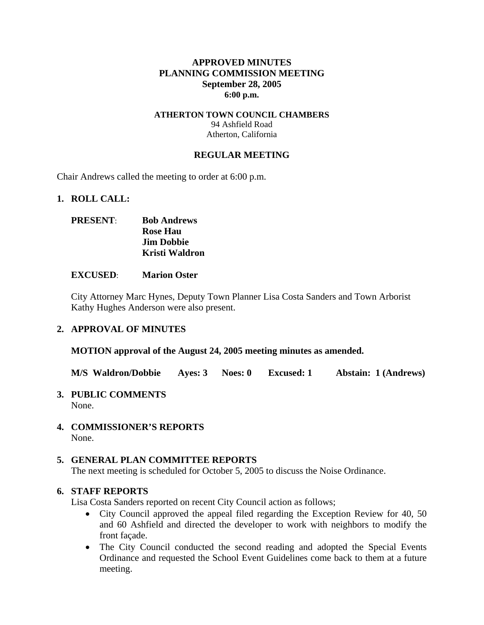### **APPROVED MINUTES PLANNING COMMISSION MEETING September 28, 2005 6:00 p.m.**

#### **ATHERTON TOWN COUNCIL CHAMBERS**  94 Ashfield Road Atherton, California

#### **REGULAR MEETING**

Chair Andrews called the meeting to order at 6:00 p.m.

#### **1. ROLL CALL:**

## **PRESENT**: **Bob Andrews Rose Hau Jim Dobbie Kristi Waldron**

#### **EXCUSED**: **Marion Oster**

City Attorney Marc Hynes, Deputy Town Planner Lisa Costa Sanders and Town Arborist Kathy Hughes Anderson were also present.

#### **2. APPROVAL OF MINUTES**

**MOTION approval of the August 24, 2005 meeting minutes as amended.** 

**M/S Waldron/Dobbie Ayes: 3 Noes: 0 Excused: 1 Abstain: 1 (Andrews)** 

## **3. PUBLIC COMMENTS**

None.

**4. COMMISSIONER'S REPORTS**  None.

#### **5. GENERAL PLAN COMMITTEE REPORTS**

The next meeting is scheduled for October 5, 2005 to discuss the Noise Ordinance.

#### **6. STAFF REPORTS**

Lisa Costa Sanders reported on recent City Council action as follows;

- City Council approved the appeal filed regarding the Exception Review for 40, 50 and 60 Ashfield and directed the developer to work with neighbors to modify the front façade.
- The City Council conducted the second reading and adopted the Special Events Ordinance and requested the School Event Guidelines come back to them at a future meeting.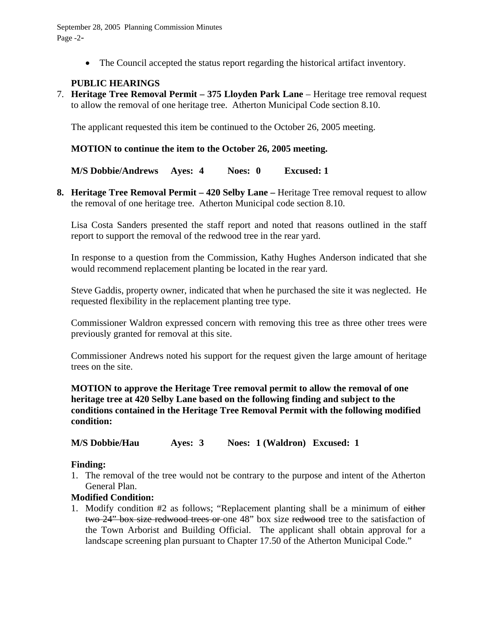September 28, 2005 Planning Commission Minutes Page -2-

• The Council accepted the status report regarding the historical artifact inventory.

## **PUBLIC HEARINGS**

7. **Heritage Tree Removal Permit – 375 Lloyden Park Lane** – Heritage tree removal request to allow the removal of one heritage tree. Atherton Municipal Code section 8.10.

The applicant requested this item be continued to the October 26, 2005 meeting.

#### **MOTION to continue the item to the October 26, 2005 meeting.**

**M/S Dobbie/Andrews Ayes: 4 Noes: 0 Excused: 1** 

**8. Heritage Tree Removal Permit – 420 Selby Lane –** Heritage Tree removal request to allow the removal of one heritage tree. Atherton Municipal code section 8.10.

Lisa Costa Sanders presented the staff report and noted that reasons outlined in the staff report to support the removal of the redwood tree in the rear yard.

In response to a question from the Commission, Kathy Hughes Anderson indicated that she would recommend replacement planting be located in the rear yard.

Steve Gaddis, property owner, indicated that when he purchased the site it was neglected. He requested flexibility in the replacement planting tree type.

Commissioner Waldron expressed concern with removing this tree as three other trees were previously granted for removal at this site.

Commissioner Andrews noted his support for the request given the large amount of heritage trees on the site.

**MOTION to approve the Heritage Tree removal permit to allow the removal of one heritage tree at 420 Selby Lane based on the following finding and subject to the conditions contained in the Heritage Tree Removal Permit with the following modified condition:** 

**M/S Dobbie/Hau Ayes: 3 Noes: 1 (Waldron) Excused: 1** 

#### **Finding:**

1. The removal of the tree would not be contrary to the purpose and intent of the Atherton General Plan.

## **Modified Condition:**

1. Modify condition #2 as follows; "Replacement planting shall be a minimum of either two 24" box size redwood trees or one 48" box size redwood tree to the satisfaction of the Town Arborist and Building Official. The applicant shall obtain approval for a landscape screening plan pursuant to Chapter 17.50 of the Atherton Municipal Code."